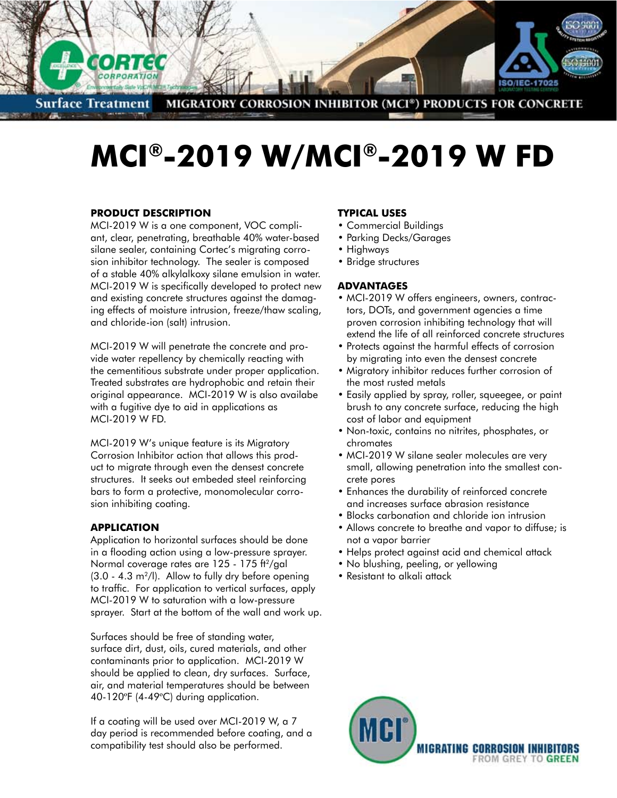

**Surface Treatment MIGRATORY CORROSION INHIBITOR (MCI®) PRODUCTS FOR CONCRETE** 

# **MCI®-2019 W/MCI®-2019 W FD**

# **Product Description**

MCI-2019 W is a one component, VOC compliant, clear, penetrating, breathable 40% water-based silane sealer, containing Cortec's migrating corrosion inhibitor technology. The sealer is composed of a stable 40% alkylalkoxy silane emulsion in water. MCI-2019 W is specifically developed to protect new and existing concrete structures against the damaging effects of moisture intrusion, freeze/thaw scaling, and chloride-ion (salt) intrusion.

MCI-2019 W will penetrate the concrete and provide water repellency by chemically reacting with the cementitious substrate under proper application. Treated substrates are hydrophobic and retain their original appearance. MCI-2019 W is also availabe with a fugitive dye to aid in applications as MCI-2019 W FD.

MCI-2019 W's unique feature is its Migratory Corrosion Inhibitor action that allows this product to migrate through even the densest concrete structures. It seeks out embeded steel reinforcing bars to form a protective, monomolecular corrosion inhibiting coating.

# **APPLICATION**

Application to horizontal surfaces should be done in a flooding action using a low-pressure sprayer. Normal coverage rates are 125 - 175 ft<sup>2</sup>/gal  $(3.0 - 4.3 \text{ m}^2/l)$ . Allow to fully dry before opening to traffic. For application to vertical surfaces, apply MCI-2019 W to saturation with a low-pressure sprayer. Start at the bottom of the wall and work up.

Surfaces should be free of standing water, surface dirt, dust, oils, cured materials, and other contaminants prior to application. MCI-2019 W should be applied to clean, dry surfaces. Surface, air, and material temperatures should be between 40-120ºF (4-49ºC) during application.

If a coating will be used over MCI-2019 W, a 7 day period is recommended before coating, and a compatibility test should also be performed.

## **TYPICAL USES**

- • Commercial Buildings
- Parking Decks/Garages
- Highways
- Bridge structures

### **ADVANTAGES**

- MCI-2019 W offers engineers, owners, contractors, DOTs, and government agencies a time proven corrosion inhibiting technology that will extend the life of all reinforced concrete structures
- Protects against the harmful effects of corrosion by migrating into even the densest concrete
- Migratory inhibitor reduces further corrosion of the most rusted metals
- Easily applied by spray, roller, squeegee, or paint brush to any concrete surface, reducing the high cost of labor and equipment
- Non-toxic, contains no nitrites, phosphates, or chromates
- MCI-2019 W silane sealer molecules are very small, allowing penetration into the smallest concrete pores
- Enhances the durability of reinforced concrete and increases surface abrasion resistance
- Blocks carbonation and chloride ion intrusion
- Allows concrete to breathe and vapor to diffuse; is not a vapor barrier
- Helps protect against acid and chemical attack
- No blushing, peeling, or yellowing
- Resistant to alkali attack